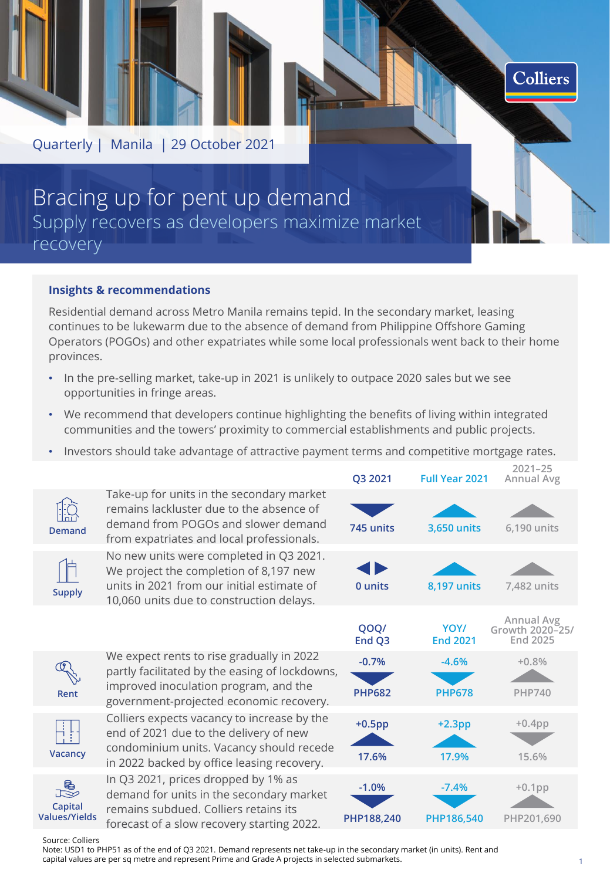

## Bracing up for pent up demand Supply recovers as developers maximize market recovery

### **Insights & recommendations**

Residential demand across Metro Manila remains tepid. In the secondary market, leasing continues to be lukewarm due to the absence of demand from Philippine Offshore Gaming Operators (POGOs) and other expatriates while some local professionals went back to their home provinces.

- In the pre-selling market, take-up in 2021 is unlikely to outpace 2020 sales but we see opportunities in fringe areas.
- We recommend that developers continue highlighting the benefits of living within integrated communities and the towers' proximity to commercial establishments and public projects.
- Investors should take advantage of attractive payment terms and competitive mortgage rates.

|                                           |                                                                                                                                                                                 | Q3 2021                  | <b>Full Year 2021</b>    | <b>Annual Avg</b>                                |
|-------------------------------------------|---------------------------------------------------------------------------------------------------------------------------------------------------------------------------------|--------------------------|--------------------------|--------------------------------------------------|
| <b>Demand</b>                             | Take-up for units in the secondary market<br>remains lackluster due to the absence of<br>demand from POGOs and slower demand<br>from expatriates and local professionals.       | 745 units                | 3,650 units              | 6,190 units                                      |
| <b>Supply</b>                             | No new units were completed in Q3 2021.<br>We project the completion of 8,197 new<br>units in 2021 from our initial estimate of<br>10,060 units due to construction delays.     | 0 units                  | 8,197 units              | 7,482 units                                      |
|                                           |                                                                                                                                                                                 | QOQ/<br>End Q3           | YOY/<br><b>End 2021</b>  | <b>Annual Avg</b><br>Growth 2020-25/<br>End 2025 |
| Rent                                      | We expect rents to rise gradually in 2022<br>partly facilitated by the easing of lockdowns,<br>improved inoculation program, and the<br>government-projected economic recovery. | $-0.7%$<br><b>PHP682</b> | $-4.6%$<br><b>PHP678</b> | $+0.8%$<br><b>PHP740</b>                         |
| Vacancy                                   | Colliers expects vacancy to increase by the<br>end of 2021 due to the delivery of new<br>condominium units. Vacancy should recede<br>in 2022 backed by office leasing recovery. | $+0.5$ pp<br>17.6%       | $+2.3$ pp<br>17.9%       | $+0.4$ pp<br>15.6%                               |
| R<br>P<br>Capital<br><b>Values/Yields</b> | In Q3 2021, prices dropped by 1% as<br>demand for units in the secondary market<br>remains subdued. Colliers retains its<br>forecast of a slow recovery starting 2022.          | $-1.0%$<br>PHP188,240    | $-7.4%$<br>PHP186,540    | $+0.1$ pp<br>PHP201,690                          |

Source: Colliers

Note: USD1 to PHP51 as of the end of Q3 2021. Demand represents net take-up in the secondary market (in units). Rent and capital values are per sq metre and represent Prime and Grade A projects in selected submarkets.

**2021–25**

**Colliers**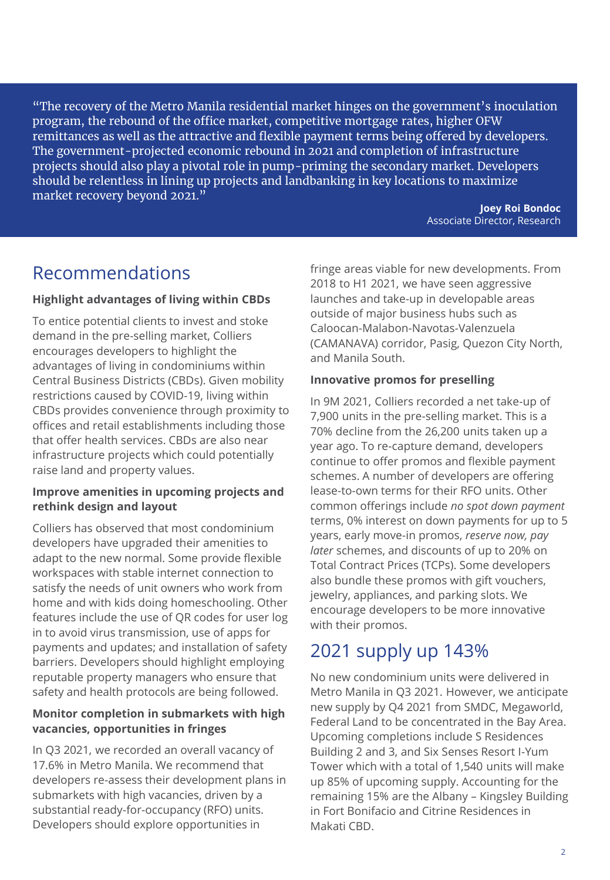"The recovery of the Metro Manila residential market hinges on the government's inoculation program, the rebound of the office market, competitive mortgage rates, higher OFW remittances as well as the attractive and flexible payment terms being offered by developers. The government-projected economic rebound in 2021 and completion of infrastructure projects should also play a pivotal role in pump-priming the secondary market. Developers should be relentless in lining up projects and landbanking in key locations to maximize market recovery beyond 2021."

**Joey Roi Bondoc**  Associate Director, Research

## Recommendations

### **Highlight advantages of living within CBDs**

To entice potential clients to invest and stoke demand in the pre-selling market, Colliers encourages developers to highlight the advantages of living in condominiums within Central Business Districts (CBDs). Given mobility restrictions caused by COVID-19, living within CBDs provides convenience through proximity to offices and retail establishments including those that offer health services. CBDs are also near infrastructure projects which could potentially raise land and property values.

## **Improve amenities in upcoming projects and rethink design and layout**

Colliers has observed that most condominium developers have upgraded their amenities to adapt to the new normal. Some provide flexible workspaces with stable internet connection to satisfy the needs of unit owners who work from home and with kids doing homeschooling. Other features include the use of QR codes for user log in to avoid virus transmission, use of apps for payments and updates; and installation of safety barriers. Developers should highlight employing reputable property managers who ensure that safety and health protocols are being followed.

### **Monitor completion in submarkets with high vacancies, opportunities in fringes**

In Q3 2021, we recorded an overall vacancy of 17.6% in Metro Manila. We recommend that developers re-assess their development plans in submarkets with high vacancies, driven by a substantial ready-for-occupancy (RFO) units. Developers should explore opportunities in

fringe areas viable for new developments. From 2018 to H1 2021, we have seen aggressive launches and take-up in developable areas outside of major business hubs such as Caloocan-Malabon-Navotas-Valenzuela (CAMANAVA) corridor, Pasig, Quezon City North, and Manila South.

### **Innovative promos for preselling**

In 9M 2021, Colliers recorded a net take-up of 7,900 units in the pre-selling market. This is a 70% decline from the 26,200 units taken up a year ago. To re-capture demand, developers continue to offer promos and flexible payment schemes. A number of developers are offering lease-to-own terms for their RFO units. Other common offerings include *no spot down payment* terms, 0% interest on down payments for up to 5 years, early move-in promos, *reserve now, pay later* schemes, and discounts of up to 20% on Total Contract Prices (TCPs). Some developers also bundle these promos with gift vouchers, jewelry, appliances, and parking slots. We encourage developers to be more innovative with their promos.

## 2021 supply up 143%

No new condominium units were delivered in Metro Manila in Q3 2021. However, we anticipate new supply by Q4 2021 from SMDC, Megaworld, Federal Land to be concentrated in the Bay Area. Upcoming completions include S Residences Building 2 and 3, and Six Senses Resort I-Yum Tower which with a total of 1,540 units will make up 85% of upcoming supply. Accounting for the remaining 15% are the Albany – Kingsley Building in Fort Bonifacio and Citrine Residences in Makati CBD.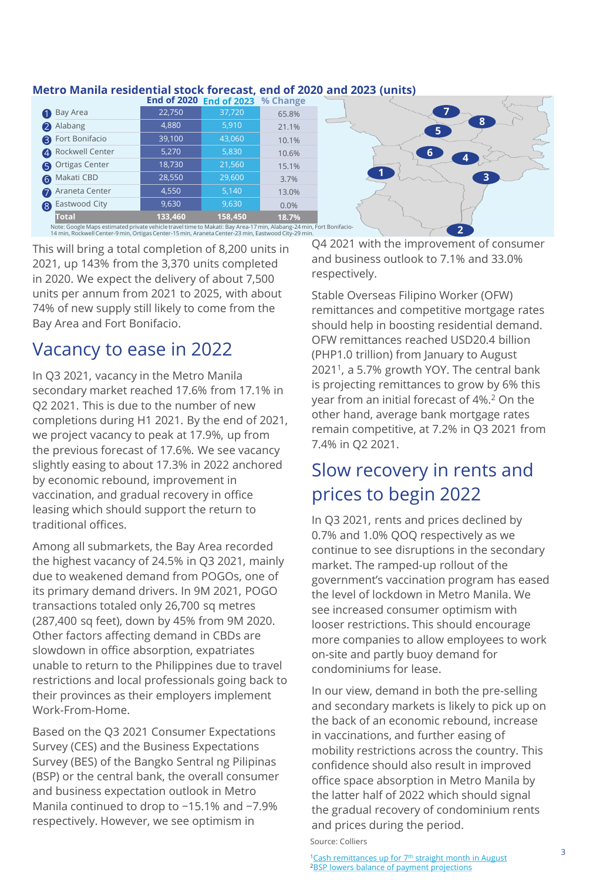## **Metro Manila residential stock forecast, end of 2020 and 2023 (units)**

|                          |                                                                                                                                                                                                                           | End of 2020 End of 2023 % Change |       |        |  |
|--------------------------|---------------------------------------------------------------------------------------------------------------------------------------------------------------------------------------------------------------------------|----------------------------------|-------|--------|--|
| Bay Area<br>$\bullet$    | 22,750                                                                                                                                                                                                                    | 37,720                           | 65.8% |        |  |
| Alabang                  | 4,880                                                                                                                                                                                                                     | 5,910                            | 21.1% | 8<br>5 |  |
| <b>B</b> Fort Bonifacio  | 39,100                                                                                                                                                                                                                    | 43,060                           | 10.1% |        |  |
| <b>A</b> Rockwell Center | 5,270                                                                                                                                                                                                                     | 5,830                            | 10.6% |        |  |
| <b>6</b> Ortigas Center  | 18,730                                                                                                                                                                                                                    | 21,560                           | 15.1% |        |  |
| 6 Makati CBD             | 28,550                                                                                                                                                                                                                    | 29,600                           | 3.7%  |        |  |
| Araneta Center           | 4,550                                                                                                                                                                                                                     | 5,140                            | 13.0% |        |  |
| Eastwood City<br>8       | 9,630                                                                                                                                                                                                                     | 9,630                            | 0.0%  |        |  |
| <b>Total</b>             | 133,460                                                                                                                                                                                                                   | 158,450                          | 18.7% |        |  |
|                          | Note: Google Maps estimated private vehicle travel time to Makati: Bay Area-17 min, Alabang-24 min, Fort Bonifacio-<br>14 min, Rockwell Center-9 min, Ortigas Center-15 min, Araneta Center-23 min, Eastwood City-29 min. |                                  |       |        |  |

This will bring a total completion of 8,200 units in 2021, up 143% from the 3,370 units completed in 2020. We expect the delivery of about 7,500 units per annum from 2021 to 2025, with about 74% of new supply still likely to come from the Bay Area and Fort Bonifacio.

## Vacancy to ease in 2022

In Q3 2021, vacancy in the Metro Manila secondary market reached 17.6% from 17.1% in Q2 2021. This is due to the number of new completions during H1 2021. By the end of 2021, we project vacancy to peak at 17.9%, up from the previous forecast of 17.6%. We see vacancy slightly easing to about 17.3% in 2022 anchored by economic rebound, improvement in vaccination, and gradual recovery in office leasing which should support the return to traditional offices.

Among all submarkets, the Bay Area recorded the highest vacancy of 24.5% in Q3 2021, mainly due to weakened demand from POGOs, one of its primary demand drivers. In 9M 2021, POGO transactions totaled only 26,700 sq metres (287,400 sq feet), down by 45% from 9M 2020. Other factors affecting demand in CBDs are slowdown in office absorption, expatriates unable to return to the Philippines due to travel restrictions and local professionals going back to their provinces as their employers implement Work-From-Home.

Based on the Q3 2021 Consumer Expectations Survey (CES) and the Business Expectations Survey (BES) of the Bangko Sentral ng Pilipinas (BSP) or the central bank, the overall consumer and business expectation outlook in Metro Manila continued to drop to −15.1% and −7.9% respectively. However, we see optimism in

Q4 2021 with the improvement of consumer and business outlook to 7.1% and 33.0% respectively.

Stable Overseas Filipino Worker (OFW) remittances and competitive mortgage rates should help in boosting residential demand. OFW remittances reached USD20.4 billion (PHP1.0 trillion) from January to August 2021<sup>1</sup> , a 5.7% growth YOY. The central bank is projecting remittances to grow by 6% this year from an initial forecast of 4%.<sup>2</sup> On the other hand, average bank mortgage rates remain competitive, at 7.2% in Q3 2021 from 7.4% in Q2 2021.

## Slow recovery in rents and prices to begin 2022

In Q3 2021, rents and prices declined by 0.7% and 1.0% QOQ respectively as we continue to see disruptions in the secondary market. The ramped-up rollout of the government's vaccination program has eased the level of lockdown in Metro Manila. We see increased consumer optimism with looser restrictions. This should encourage more companies to allow employees to work on-site and partly buoy demand for condominiums for lease.

In our view, demand in both the pre-selling and secondary markets is likely to pick up on the back of an economic rebound, increase in vaccinations, and further easing of mobility restrictions across the country. This confidence should also result in improved office space absorption in Metro Manila by the latter half of 2022 which should signal the gradual recovery of condominium rents and prices during the period. Source: Colliers

<sup>1</sup>[Cash remittances up for 7](https://www.bworldonline.com/cash-remittances-up-for-7th-straight-month-in-august/)<sup>th</sup> straight month in August **2[BSP lowers balance of payment projections](https://www.bworldonline.com/bsp-lowers-balance-of-payments-projections/)**